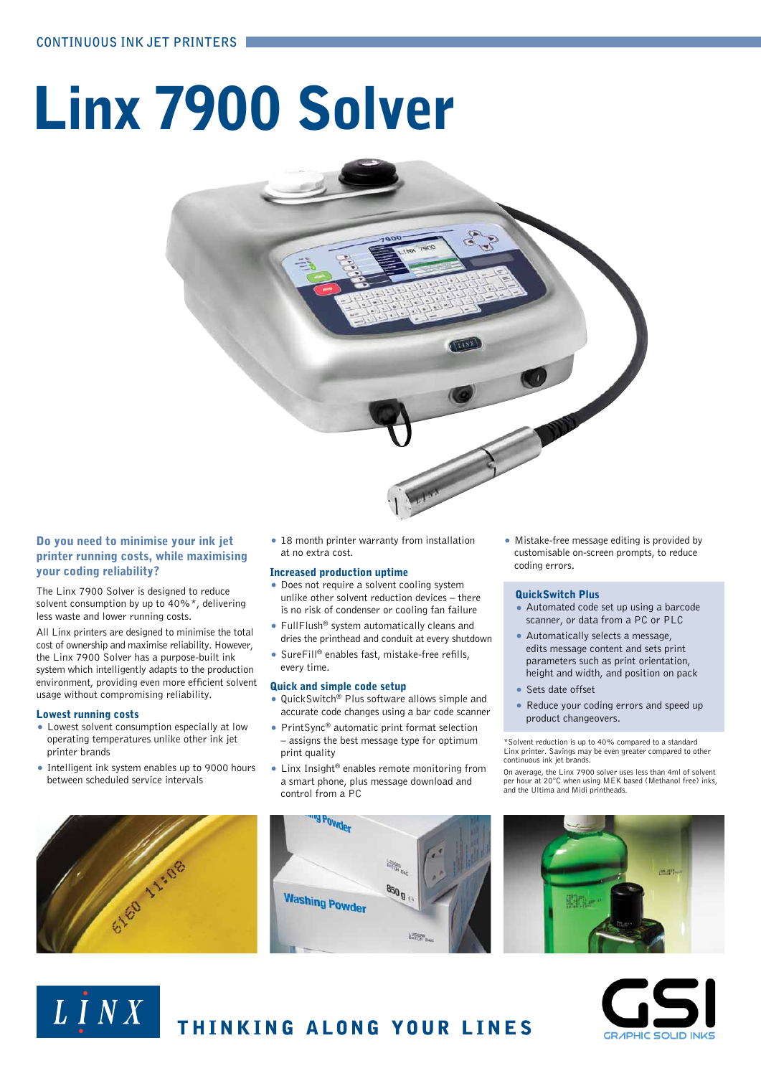# Linx 7900 Solver



## Do you need to minimise your ink jet printer running costs, while maximising your coding reliability?

The Linx 7900 Solver is designed to reduce solvent consumption by up to 40%\*, delivering less waste and lower running costs.

All Linx printers are designed to minimise the total cost of ownership and maximise reliability. However, the Linx 7900 Solver has a purpose-built ink system which intelligently adapts to the production environment, providing even more efficient solvent usage without compromising reliability.

## Lowest running costs

- Lowest solvent consumption especially at low operating temperatures unlike other ink jet printer brands
- Intelligent ink system enables up to 9000 hours between scheduled service intervals



LINX

• 18 month printer warranty from installation at no extra cost.

## Increased production uptime

- Does not require a solvent cooling system unlike other solvent reduction devices – there is no risk of condenser or cooling fan failure
- FullFlush® system automatically cleans and dries the printhead and conduit at every shutdown
- SureFill® enables fast, mistake-free refills, every time.

## Quick and simple code setup

- QuickSwitch® Plus software allows simple and accurate code changes using a bar code scanner
- PrintSync® automatic print format selection – assigns the best message type for optimum print quality
- Linx Insight® enables remote monitoring from a smart phone, plus message download and control from a PC



• Mistake-free message editing is provided by customisable on-screen prompts, to reduce coding errors.

## QuickSwitch Plus

- Automated code set up using a barcode scanner, or data from a PC or PLC
- Automatically selects a message, edits message content and sets print parameters such as print orientation, height and width, and position on pack
- Sets date offset
- Reduce your coding errors and speed up product changeovers.

\*Solvent reduction is up to 40% compared to a standard Linx printer. Savings may be even greater compared to other continuous ink jet brands.

On average, the Linx 7900 solver uses less than 4ml of solvent per hour at 20°C when using MEK based (Methanol free) inks, and the Ultima and Midi printheads.





# THINKING ALONG YOUR LINES